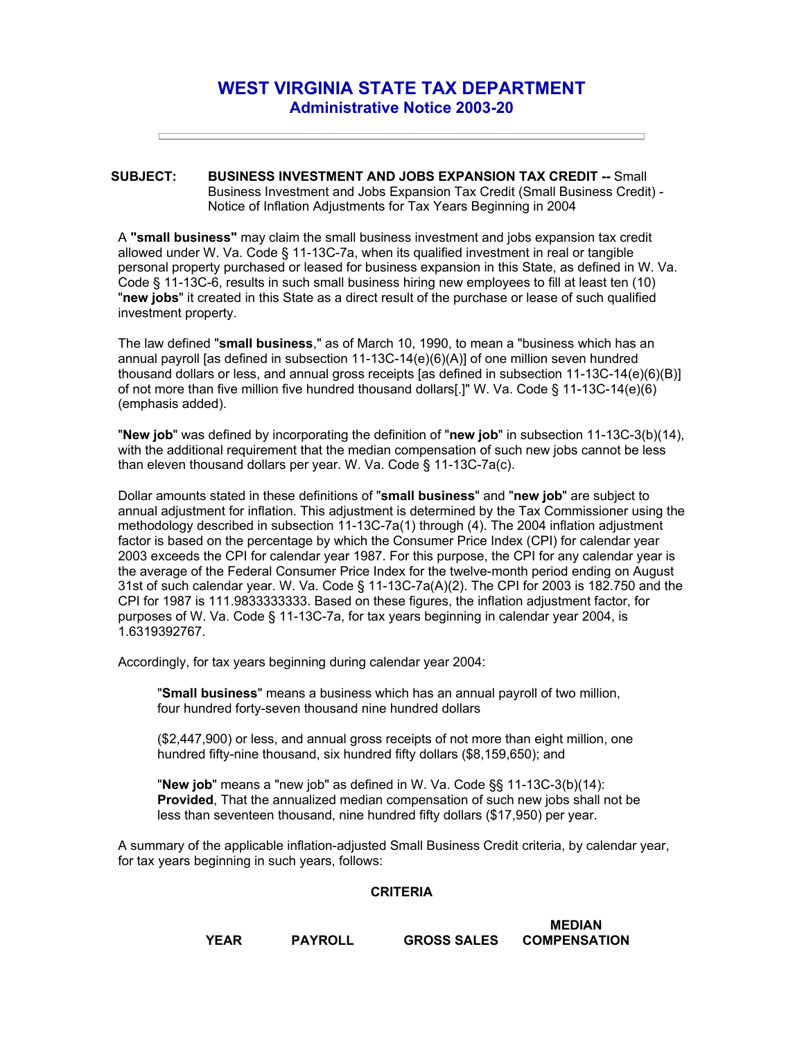## **WEST VIRGINIA STATE TAX DEPARTMENT Administrative Notice 2003-20**

## **SUBJECT: BUSINESS INVESTMENT AND JOBS EXPANSION TAX CREDIT --** Small Business Investment and Jobs Expansion Tax Credit (Small Business Credit) - Notice of Inflation Adjustments for Tax Years Beginning in 2004

A **"small business"** may claim the small business investment and jobs expansion tax credit allowed under W. Va. Code § 11-13C-7a, when its qualified investment in real or tangible personal property purchased or leased for business expansion in this State, as defined in W. Va. Code § 11-13C-6, results in such small business hiring new employees to fill at least ten (10) "**new jobs**" it created in this State as a direct result of the purchase or lease of such qualified investment property.

The law defined "**small business**," as of March 10, 1990, to mean a "business which has an annual payroll [as defined in subsection 11-13C-14(e)(6)(A)] of one million seven hundred thousand dollars or less, and annual gross receipts [as defined in subsection 11-13C-14(e)(6)(B)] of not more than five million five hundred thousand dollars[.]" W. Va. Code § 11-13C-14(e)(6) (emphasis added).

"**New job**" was defined by incorporating the definition of "**new job**" in subsection 11-13C-3(b)(14), with the additional requirement that the median compensation of such new jobs cannot be less than eleven thousand dollars per year. W. Va. Code § 11-13C-7a(c).

Dollar amounts stated in these definitions of "**small business**" and "**new job**" are subject to annual adjustment for inflation. This adjustment is determined by the Tax Commissioner using the methodology described in subsection 11-13C-7a(1) through (4). The 2004 inflation adjustment factor is based on the percentage by which the Consumer Price Index (CPI) for calendar year 2003 exceeds the CPI for calendar year 1987. For this purpose, the CPI for any calendar year is the average of the Federal Consumer Price Index for the twelve-month period ending on August 31st of such calendar year. W. Va. Code § 11-13C-7a(A)(2). The CPI for 2003 is 182.750 and the CPI for 1987 is 111.9833333333. Based on these figures, the inflation adjustment factor, for purposes of W. Va. Code § 11-13C-7a, for tax years beginning in calendar year 2004, is 1.6319392767.

Accordingly, for tax years beginning during calendar year 2004:

"**Small business**" means a business which has an annual payroll of two million, four hundred forty-seven thousand nine hundred dollars

(\$2,447,900) or less, and annual gross receipts of not more than eight million, one hundred fifty-nine thousand, six hundred fifty dollars (\$8,159,650); and

"**New job**" means a "new job" as defined in W. Va. Code §§ 11-13C-3(b)(14): **Provided**, That the annualized median compensation of such new jobs shall not be less than seventeen thousand, nine hundred fifty dollars (\$17,950) per year.

A summary of the applicable inflation-adjusted Small Business Credit criteria, by calendar year, for tax years beginning in such years, follows:

## **CRITERIA**

|             |                |                    | <b>MEDIAN</b>       |
|-------------|----------------|--------------------|---------------------|
| <b>YEAR</b> | <b>PAYROLL</b> | <b>GROSS SALES</b> | <b>COMPENSATION</b> |